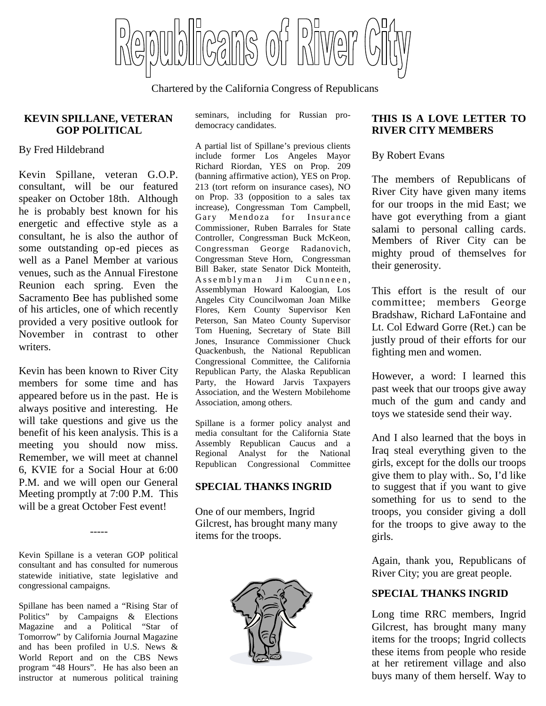Cans of piwer

Chartered by the California Congress of Republicans

#### **KEVIN SPILLANE, VETERAN GOP POLITICAL**

By Fred Hildebrand

Kevin Spillane, veteran G.O.P. consultant, will be our featured speaker on October 18th. Although he is probably best known for his energetic and effective style as a  $_{\text{Cammi}}$ consultant, he is also the author of some outstanding op-ed pieces as well as a Panel Member at various venues, such as the Annual Firestone Reunion each spring. Even the Sacramento Bee has published some of his articles, one of which recently provided a very positive outlook for November in contrast to other writers.

Kevin has been known to River City members for some time and has appeared before us in the past. He is always positive and interesting. He will take questions and give us the benefit of his keen analysis. This is a meeting you should now miss. Remember, we will meet at channel 6, KVIE for a Social Hour at 6:00 P.M. and we will open our General Meeting promptly at 7:00 P.M. This will be a great October Fest event!

Kevin Spillane is a veteran GOP political consultant and has consulted for numerous statewide initiative, state legislative and congressional campaigns.

-----

Spillane has been named a "Rising Star of Politics" by Campaigns & Elections Magazine and a Political "Star of Tomorrow" by California Journal Magazine and has been profiled in U.S. News & World Report and on the CBS News program "48 Hours". He has also been an instructor at numerous political training

seminars, including for Russian prodemocracy candidates.

A partial list of Spillane's previous clients include former Los Angeles Mayor Richard Riordan, YES on Prop. 209 (banning affirmative action), YES on Prop. 213 (tort reform on insurance cases), NO on Prop. 33 (opposition to a sales tax increase), Congressman Tom Campbell, Mendoza for Insurance Commissioner, Ruben Barrales for State Controller, Congressman Buck McKeon, Congressman George Radanovich, Congressman Steve Horn, Congressman Bill Baker, state Senator Dick Monteith, Assemblyman Jim Cunneen, Assemblyman Howard Kaloogian, Los Angeles City Councilwoman Joan Milke Flores, Kern County Supervisor Ken Peterson, San Mateo County Supervisor Tom Huening, Secretary of State Bill Jones, Insurance Commissioner Chuck Quackenbush, the National Republican Congressional Committee, the California Republican Party, the Alaska Republican Party, the Howard Jarvis Taxpayers Association, and the Western Mobilehome Association, among others.

Spillane is a former policy analyst and media consultant for the California State Assembly Republican Caucus and a Regional Analyst for the National Republican Congressional Committee

### **SPECIAL THANKS INGRID**

One of our members, Ingrid Gilcrest, has brought many many items for the troops.



### **THIS IS A LOVE LETTER TO RIVER CITY MEMBERS**

## By Robert Evans

The members of Republicans of River City have given many items for our troops in the mid East; we have got everything from a giant salami to personal calling cards. Members of River City can be mighty proud of themselves for their generosity.

This effort is the result of our committee; members George Bradshaw, Richard LaFontaine and Lt. Col Edward Gorre (Ret.) can be justly proud of their efforts for our fighting men and women.

However, a word: I learned this past week that our troops give away much of the gum and candy and toys we stateside send their way.

And I also learned that the boys in Iraq steal everything given to the girls, except for the dolls our troops give them to play with.. So, I'd like to suggest that if you want to give something for us to send to the troops, you consider giving a doll for the troops to give away to the girls.

Again, thank you, Republicans of River City; you are great people.

# **SPECIAL THANKS INGRID**

Long time RRC members, Ingrid Gilcrest, has brought many many items for the troops; Ingrid collects these items from people who reside at her retirement village and also buys many of them herself. Way to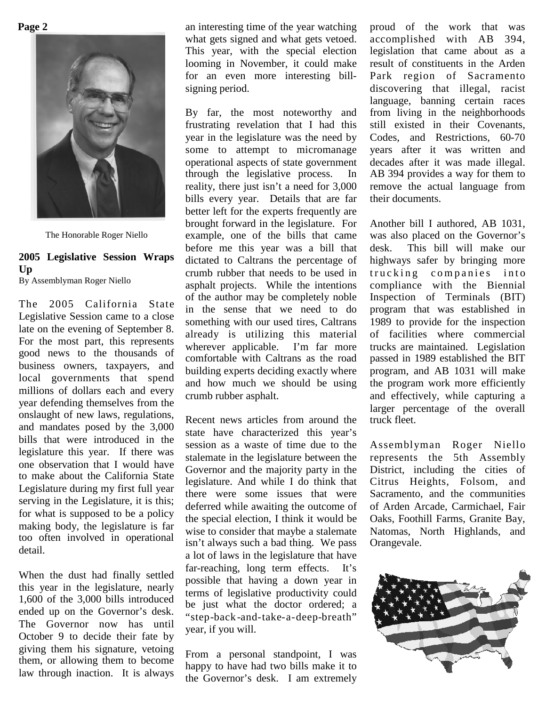**Page 2**



The Honorable Roger Niello

# **2005 Legislative Session Wraps Up**

By Assemblyman Roger Niello

The 2005 California State Legislative Session came to a close late on the evening of September 8. For the most part, this represents good news to the thousands of business owners, taxpayers, and local governments that spend millions of dollars each and every year defending themselves from the onslaught of new laws, regulations, and mandates posed by the 3,000 bills that were introduced in the legislature this year. If there was one observation that I would have to make about the California State Legislature during my first full year serving in the Legislature, it is this; for what is supposed to be a policy making body, the legislature is far too often involved in operational detail.

When the dust had finally settled this year in the legislature, nearly 1,600 of the 3,000 bills introduced ended up on the Governor's desk. The Governor now has until October 9 to decide their fate by giving them his signature, vetoing them, or allowing them to become law through inaction. It is always

an interesting time of the year watching what gets signed and what gets vetoed. This year, with the special election looming in November, it could make for an even more interesting billsigning period.

By far, the most noteworthy and frustrating revelation that I had this year in the legislature was the need by some to attempt to micromanage operational aspects of state government through the legislative process. In reality, there just isn't a need for 3,000 bills every year. Details that are far better left for the experts frequently are brought forward in the legislature. For example, one of the bills that came before me this year was a bill that dictated to Caltrans the percentage of crumb rubber that needs to be used in asphalt projects. While the intentions of the author may be completely noble in the sense that we need to do something with our used tires, Caltrans already is utilizing this material wherever applicable. I'm far more comfortable with Caltrans as the road building experts deciding exactly where and how much we should be using crumb rubber asphalt.

Recent news articles from around the state have characterized this year's session as a waste of time due to the stalemate in the legislature between the Governor and the majority party in the legislature. And while I do think that there were some issues that were deferred while awaiting the outcome of the special election, I think it would be wise to consider that maybe a stalemate isn't always such a bad thing. We pass a lot of laws in the legislature that have far-reaching, long term effects. It's possible that having a down year in terms of legislative productivity could be just what the doctor ordered; a "step-back -and-take-a-deep-breath" year, if you will.

From a personal standpoint, I was happy to have had two bills make it to the Governor's desk. I am extremely proud of the work that was accomplished with AB 394, legislation that came about as a result of constituents in the Arden Park region of Sacramento discovering that illegal, racist language, banning certain races from living in the neighborhoods still existed in their Covenants, Codes, and Restrictions, 60-70 years after it was written and decades after it was made illegal. AB 394 provides a way for them to remove the actual language from their documents.

Another bill I authored, AB 1031, was also placed on the Governor's desk. This bill will make our highways safer by bringing more trucking companies into compliance with the Biennial Inspection of Terminals (BIT) program that was established in 1989 to provide for the inspection of facilities where commercial trucks are maintained. Legislation passed in 1989 established the BIT program, and AB 1031 will make the program work more efficiently and effectively, while capturing a larger percentage of the overall truck fleet.

Assemblyman Roger Niello represents the 5th Assembly District, including the cities of Citrus Heights, Folsom, and Sacramento, and the communities of Arden Arcade, Carmichael, Fair Oaks, Foothill Farms, Granite Bay, Natomas, North Highlands, and Orangevale.

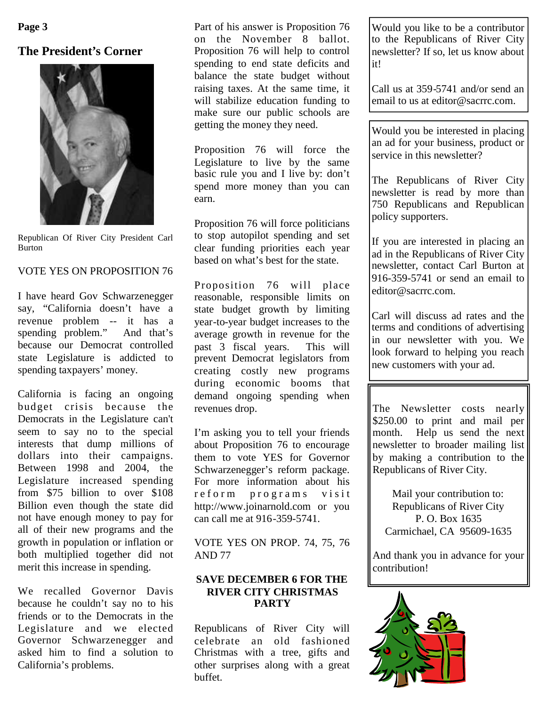**Page 3**

# **The President's Corner**



Republican Of River City President Carl Burton

### VOTE YES ON PROPOSITION 76

I have heard Gov Schwarzenegger say, "California doesn't have a revenue problem -- it has a spending problem." And that's because our Democrat controlled state Legislature is addicted to spending taxpayers' money.

California is facing an ongoing budget crisis because the Democrats in the Legislature can't seem to say no to the special interests that dump millions of dollars into their campaigns. Between 1998 and 2004, the Legislature increased spending from \$75 billion to over \$108 Billion even though the state did not have enough money to pay for all of their new programs and the growth in population or inflation or both multiplied together did not merit this increase in spending.

We recalled Governor Davis because he couldn't say no to his friends or to the Democrats in the Legislature and we elected Governor Schwarzenegger and asked him to find a solution to California's problems.

Part of his answer is Proposition 76 on the November 8 ballot. Proposition 76 will help to control spending to end state deficits and balance the state budget without raising taxes. At the same time, it will stabilize education funding to make sure our public schools are getting the money they need.

Proposition 76 will force the Legislature to live by the same basic rule you and I live by: don't spend more money than you can earn.

Proposition 76 will force politicians to stop autopilot spending and set clear funding priorities each year based on what's best for the state.

Proposition 76 will place reasonable, responsible limits on state budget growth by limiting year-to-year budget increases to the average growth in revenue for the past 3 fiscal years. This will prevent Democrat legislators from creating costly new programs during economic booms that demand ongoing spending when revenues drop.

I'm asking you to tell your friends about Proposition 76 to encourage them to vote YES for Governor Schwarzenegger's reform package. For more information about his reform programs visit http://www.joinarnold.com or you can call me at 916-359-5741.

VOTE YES ON PROP. 74, 75, 76 AND 77

## **SAVE DECEMBER 6 FOR THE RIVER CITY CHRISTMAS PARTY**

Republicans of River City will celebrate an old fashioned Christmas with a tree, gifts and other surprises along with a great buffet.

Would you like to be a contributor to the Republicans of River City newsletter? If so, let us know about it!

Call us at 359-5741 and/or send an email to us at editor@sacrrc.com.

Would you be interested in placing an ad for your business, product or service in this newsletter?

The Republicans of River City newsletter is read by more than 750 Republicans and Republican policy supporters.

If you are interested in placing an ad in the Republicans of River City newsletter, contact Carl Burton at 916-359-5741 or send an email to editor@sacrrc.com.

Carl will discuss ad rates and the terms and conditions of advertising in our newsletter with you. We look forward to helping you reach new customers with your ad.

The Newsletter costs nearly \$250.00 to print and mail per month. Help us send the next newsletter to broader mailing list by making a contribution to the Republicans of River City.

Mail your contribution to: Republicans of River City P. O. Box 1635 Carmichael, CA 95609-1635

And thank you in advance for your contribution!